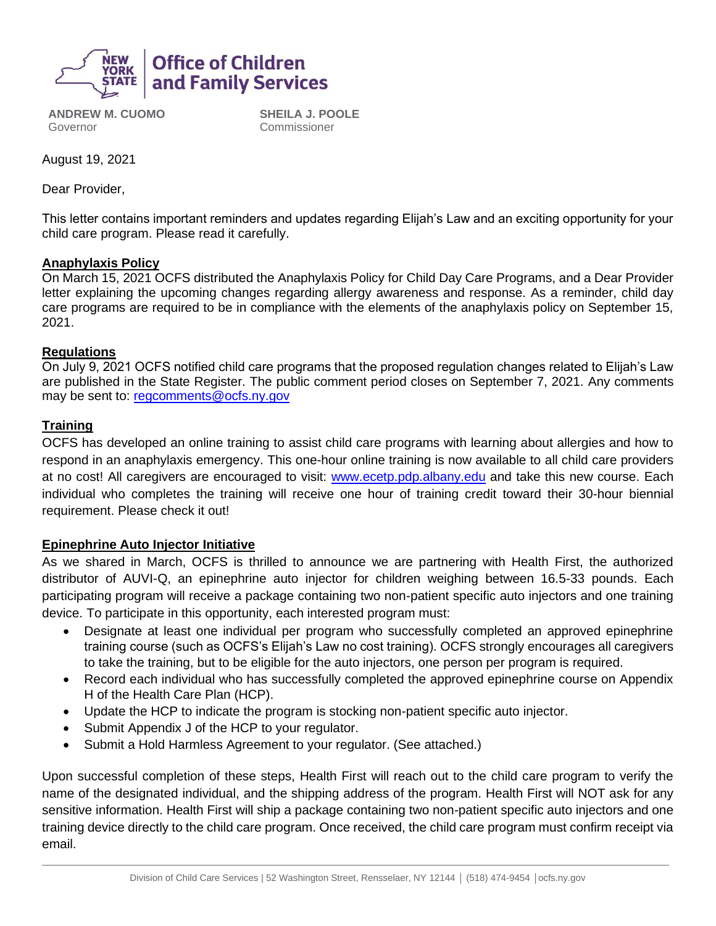

**ANDREW M. CUOMO** Governor

**SHEILA J. POOLE** Commissioner

August 19, 2021

Dear Provider,

This letter contains important reminders and updates regarding Elijah's Law and an exciting opportunity for your child care program. Please read it carefully.

## **Anaphylaxis Policy**

On March 15, 2021 OCFS distributed the Anaphylaxis Policy for Child Day Care Programs, and a Dear Provider letter explaining the upcoming changes regarding allergy awareness and response. As a reminder, child day care programs are required to be in compliance with the elements of the anaphylaxis policy on September 15, 2021.

### **Regulations**

On July 9, 2021 OCFS notified child care programs that the proposed regulation changes related to Elijah's Law are published in the State Register. The public comment period closes on September 7, 2021. Any comments may be sent to: [regcomments@ocfs.ny.gov](mailto:regcomments@ocfs.ny.gov)

## **Training**

OCFS has developed an online training to assist child care programs with learning about allergies and how to respond in an anaphylaxis emergency. This one-hour online training is now available to all child care providers at no cost! All caregivers are encouraged to visit: [www.ecetp.pdp.albany.edu](http://www.ecetp.pdp.albany.edu/) and take this new course. Each individual who completes the training will receive one hour of training credit toward their 30-hour biennial requirement. Please check it out!

## **Epinephrine Auto Injector Initiative**

As we shared in March, OCFS is thrilled to announce we are partnering with Health First, the authorized distributor of AUVI-Q, an epinephrine auto injector for children weighing between 16.5-33 pounds. Each participating program will receive a package containing two non-patient specific auto injectors and one training device. To participate in this opportunity, each interested program must:

- Designate at least one individual per program who successfully completed an approved epinephrine training course (such as OCFS's Elijah's Law no cost training). OCFS strongly encourages all caregivers to take the training, but to be eligible for the auto injectors, one person per program is required.
- Record each individual who has successfully completed the approved epinephrine course on Appendix H of the Health Care Plan (HCP).
- Update the HCP to indicate the program is stocking non-patient specific auto injector.
- Submit Appendix J of the HCP to your regulator.
- Submit a Hold Harmless Agreement to your regulator. (See attached.)

Upon successful completion of these steps, Health First will reach out to the child care program to verify the name of the designated individual, and the shipping address of the program. Health First will NOT ask for any sensitive information. Health First will ship a package containing two non-patient specific auto injectors and one training device directly to the child care program. Once received, the child care program must confirm receipt via email.